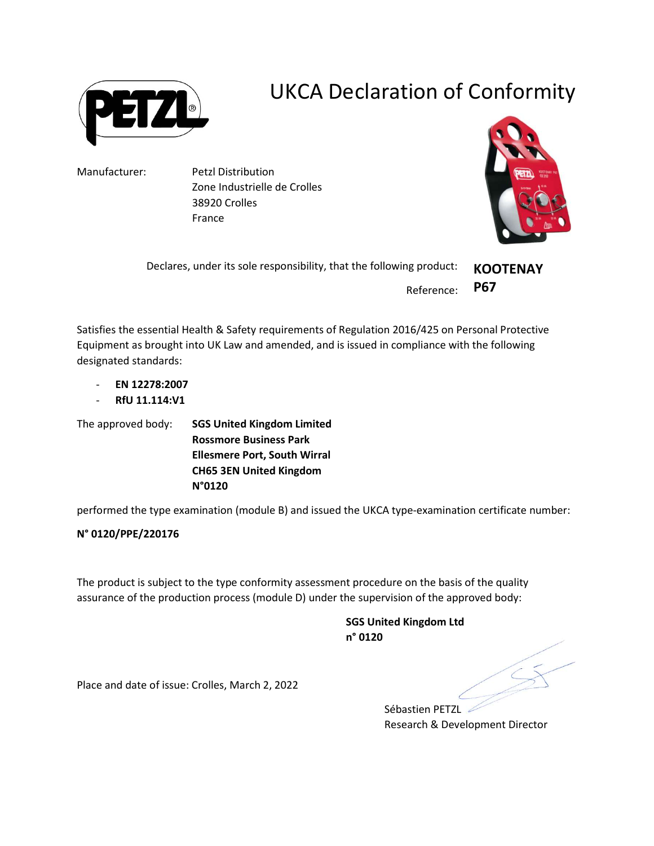

## UKCA Declaration of Conformity

Manufacturer: Petzl Distribution Zone Industrielle de Crolles 38920 Crolles France



Declares, under its sole responsibility, that the following product: Reference: **KOOTENAY** P67

Satisfies the essential Health & Safety requirements of Regulation 2016/425 on Personal Protective Equipment as brought into UK Law and amended, and is issued in compliance with the following designated standards:

- EN 12278:2007
- RfU 11.114:V1

The approved body: SGS United Kingdom Limited Rossmore Business Park Ellesmere Port, South Wirral CH65 3EN United Kingdom N°0120

performed the type examination (module B) and issued the UKCA type-examination certificate number:

## N° 0120/PPE/220176

The product is subject to the type conformity assessment procedure on the basis of the quality assurance of the production process (module D) under the supervision of the approved body:

> SGS United Kingdom Ltd n° 0120

Place and date of issue: Crolles, March 2, 2022

Sébastien PETZL Research & Development Director